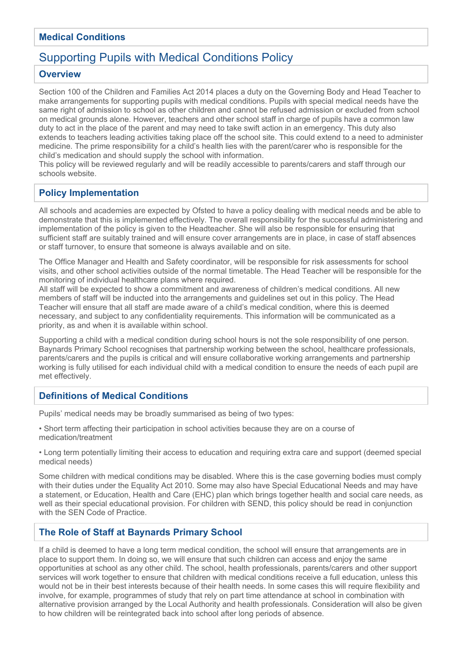## **Medical Conditions**

# Supporting Pupils with Medical Conditions Policy

#### **Overview**

Section 100 of the Children and Families Act 2014 places a duty on the Governing Body and Head Teacher to make arrangements for supporting pupils with medical conditions. Pupils with special medical needs have the same right of admission to school as other children and cannot be refused admission or excluded from school on medical grounds alone. However, teachers and other school staff in charge of pupils have a common law duty to act in the place of the parent and may need to take swift action in an emergency. This duty also extends to teachers leading activities taking place off the school site. This could extend to a need to administer medicine. The prime responsibility for a child's health lies with the parent/carer who is responsible for the child's medication and should supply the school with information.

This policy will be reviewed regularly and will be readily accessible to parents/carers and staff through our schools website.

# **Policy Implementation**

All schools and academies are expected by Ofsted to have a policy dealing with medical needs and be able to demonstrate that this is implemented effectively. The overall responsibility for the successful administering and implementation of the policy is given to the Headteacher. She will also be responsible for ensuring that sufficient staff are suitably trained and will ensure cover arrangements are in place, in case of staff absences or staff turnover, to ensure that someone is always available and on site.

The Office Manager and Health and Safety coordinator, will be responsible for risk assessments for school visits, and other school activities outside of the normal timetable. The Head Teacher will be responsible for the monitoring of individual healthcare plans where required.

All staff will be expected to show a commitment and awareness of children's medical conditions. All new members of staff will be inducted into the arrangements and guidelines set out in this policy. The Head Teacher will ensure that all staff are made aware of a child's medical condition, where this is deemed necessary, and subject to any confidentiality requirements. This information will be communicated as a priority, as and when it is available within school.

Supporting a child with a medical condition during school hours is not the sole responsibility of one person. Baynards Primary School recognises that partnership working between the school, healthcare professionals, parents/carers and the pupils is critical and will ensure collaborative working arrangements and partnership working is fully utilised for each individual child with a medical condition to ensure the needs of each pupil are met effectively.

### **Definitions of Medical Conditions**

Pupils' medical needs may be broadly summarised as being of two types:

• Short term affecting their participation in school activities because they are on a course of medication/treatment

• Long term potentially limiting their access to education and requiring extra care and support (deemed special medical needs)

Some children with medical conditions may be disabled. Where this is the case governing bodies must comply with their duties under the Equality Act 2010. Some may also have Special Educational Needs and may have a statement, or Education, Health and Care (EHC) plan which brings together health and social care needs, as well as their special educational provision. For children with SEND, this policy should be read in conjunction with the SEN Code of Practice.

### **The Role of Staff at Baynards Primary School**

If a child is deemed to have a long term medical condition, the school will ensure that arrangements are in place to support them. In doing so, we will ensure that such children can access and enjoy the same opportunities at school as any other child. The school, health professionals, parents/carers and other support services will work together to ensure that children with medical conditions receive a full education, unless this would not be in their best interests because of their health needs. In some cases this will require flexibility and involve, for example, programmes of study that rely on part time attendance at school in combination with alternative provision arranged by the Local Authority and health professionals. Consideration will also be given to how children will be reintegrated back into school after long periods of absence.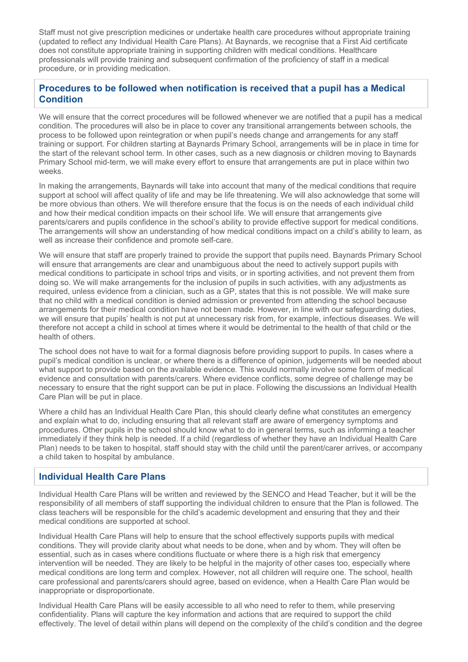Staff must not give prescription medicines or undertake health care procedures without appropriate training (updated to reflect any Individual Health Care Plans). At Baynards, we recognise that a First Aid certificate does not constitute appropriate training in supporting children with medical conditions. Healthcare professionals will provide training and subsequent confirmation of the proficiency of staff in a medical procedure, or in providing medication.

## **Procedures to be followed when notification is received that a pupil has a Medical Condition**

We will ensure that the correct procedures will be followed whenever we are notified that a pupil has a medical condition. The procedures will also be in place to cover any transitional arrangements between schools, the process to be followed upon reintegration or when pupil's needs change and arrangements for any staff training or support. For children starting at Baynards Primary School, arrangements will be in place in time for the start of the relevant school term. In other cases, such as a new diagnosis or children moving to Baynards Primary School mid-term, we will make every effort to ensure that arrangements are put in place within two weeks.

In making the arrangements, Baynards will take into account that many of the medical conditions that require support at school will affect quality of life and may be life threatening. We will also acknowledge that some will be more obvious than others. We will therefore ensure that the focus is on the needs of each individual child and how their medical condition impacts on their school life. We will ensure that arrangements give parents/carers and pupils confidence in the school's ability to provide effective support for medical conditions. The arrangements will show an understanding of how medical conditions impact on a child's ability to learn, as well as increase their confidence and promote self-care.

We will ensure that staff are properly trained to provide the support that pupils need. Baynards Primary School will ensure that arrangements are clear and unambiguous about the need to actively support pupils with medical conditions to participate in school trips and visits, or in sporting activities, and not prevent them from doing so. We will make arrangements for the inclusion of pupils in such activities, with any adjustments as required, unless evidence from a clinician, such as a GP, states that this is not possible. We will make sure that no child with a medical condition is denied admission or prevented from attending the school because arrangements for their medical condition have not been made. However, in line with our safeguarding duties, we will ensure that pupils' health is not put at unnecessary risk from, for example, infectious diseases. We will therefore not accept a child in school at times where it would be detrimental to the health of that child or the health of others.

The school does not have to wait for a formal diagnosis before providing support to pupils. In cases where a pupil's medical condition is unclear, or where there is a difference of opinion, judgements will be needed about what support to provide based on the available evidence. This would normally involve some form of medical evidence and consultation with parents/carers. Where evidence conflicts, some degree of challenge may be necessary to ensure that the right support can be put in place. Following the discussions an Individual Health Care Plan will be put in place.

Where a child has an Individual Health Care Plan, this should clearly define what constitutes an emergency and explain what to do, including ensuring that all relevant staff are aware of emergency symptoms and procedures. Other pupils in the school should know what to do in general terms, such as informing a teacher immediately if they think help is needed. If a child (regardless of whether they have an Individual Health Care Plan) needs to be taken to hospital, staff should stay with the child until the parent/carer arrives, or accompany a child taken to hospital by ambulance.

#### **Individual Health Care Plans**

Individual Health Care Plans will be written and reviewed by the SENCO and Head Teacher, but it will be the responsibility of all members of staff supporting the individual children to ensure that the Plan is followed. The class teachers will be responsible for the child's academic development and ensuring that they and their medical conditions are supported at school.

Individual Health Care Plans will help to ensure that the school effectively supports pupils with medical conditions. They will provide clarity about what needs to be done, when and by whom. They will often be essential, such as in cases where conditions fluctuate or where there is a high risk that emergency intervention will be needed. They are likely to be helpful in the majority of other cases too, especially where medical conditions are long term and complex. However, not all children will require one. The school, health care professional and parents/carers should agree, based on evidence, when a Health Care Plan would be inappropriate or disproportionate.

Individual Health Care Plans will be easily accessible to all who need to refer to them, while preserving confidentiality. Plans will capture the key information and actions that are required to support the child effectively. The level of detail within plans will depend on the complexity of the child's condition and the degree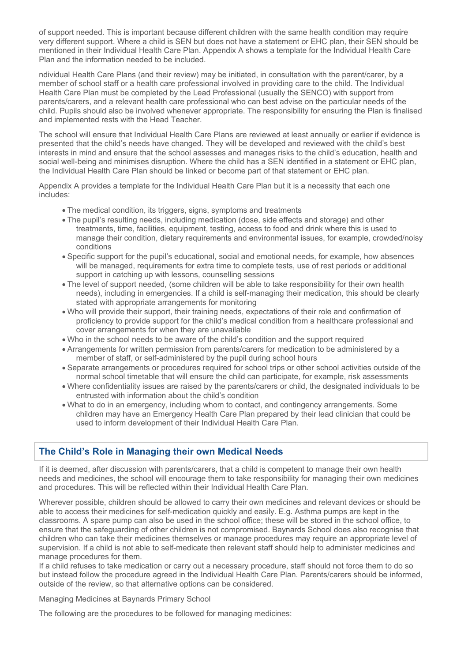of support needed. This is important because different children with the same health condition may require very different support. Where a child is SEN but does not have a statement or EHC plan, their SEN should be mentioned in their Individual Health Care Plan. Appendix A shows a template for the Individual Health Care Plan and the information needed to be included.

ndividual Health Care Plans (and their review) may be initiated, in consultation with the parent/carer, by a member of school staff or a health care professional involved in providing care to the child. The Individual Health Care Plan must be completed by the Lead Professional (usually the SENCO) with support from parents/carers, and a relevant health care professional who can best advise on the particular needs of the child. Pupils should also be involved whenever appropriate. The responsibility for ensuring the Plan is finalised and implemented rests with the Head Teacher.

The school will ensure that Individual Health Care Plans are reviewed at least annually or earlier if evidence is presented that the child's needs have changed. They will be developed and reviewed with the child's best interests in mind and ensure that the school assesses and manages risks to the child's education, health and social well-being and minimises disruption. Where the child has a SEN identified in a statement or EHC plan, the Individual Health Care Plan should be linked or become part of that statement or EHC plan.

Appendix A provides a template for the Individual Health Care Plan but it is a necessity that each one includes:

- The medical condition, its triggers, signs, symptoms and treatments
- The pupil's resulting needs, including medication (dose, side effects and storage) and other treatments, time, facilities, equipment, testing, access to food and drink where this is used to manage their condition, dietary requirements and environmental issues, for example, crowded/noisy conditions
- Specific support for the pupil's educational, social and emotional needs, for example, how absences will be managed, requirements for extra time to complete tests, use of rest periods or additional support in catching up with lessons, counselling sessions
- The level of support needed, (some children will be able to take responsibility for their own health needs), including in emergencies. If a child is self-managing their medication, this should be clearly stated with appropriate arrangements for monitoring
- Who will provide their support, their training needs, expectations of their role and confirmation of proficiency to provide support for the child's medical condition from a healthcare professional and cover arrangements for when they are unavailable
- Who in the school needs to be aware of the child's condition and the support required
- Arrangements for written permission from parents/carers for medication to be administered by a member of staff, or self-administered by the pupil during school hours
- Separate arrangements or procedures required for school trips or other school activities outside of the normal school timetable that will ensure the child can participate, for example, risk assessments
- Where confidentiality issues are raised by the parents/carers or child, the designated individuals to be entrusted with information about the child's condition
- What to do in an emergency, including whom to contact, and contingency arrangements. Some children may have an Emergency Health Care Plan prepared by their lead clinician that could be used to inform development of their Individual Health Care Plan.

### **The Child's Role in Managing their own Medical Needs**

If it is deemed, after discussion with parents/carers, that a child is competent to manage their own health needs and medicines, the school will encourage them to take responsibility for managing their own medicines and procedures. This will be reflected within their Individual Health Care Plan.

Wherever possible, children should be allowed to carry their own medicines and relevant devices or should be able to access their medicines for self-medication quickly and easily. E.g. Asthma pumps are kept in the classrooms. A spare pump can also be used in the school office; these will be stored in the school office, to ensure that the safeguarding of other children is not compromised. Baynards School does also recognise that children who can take their medicines themselves or manage procedures may require an appropriate level of supervision. If a child is not able to self-medicate then relevant staff should help to administer medicines and manage procedures for them.

If a child refuses to take medication or carry out a necessary procedure, staff should not force them to do so but instead follow the procedure agreed in the Individual Health Care Plan. Parents/carers should be informed, outside of the review, so that alternative options can be considered.

Managing Medicines at Baynards Primary School

The following are the procedures to be followed for managing medicines: